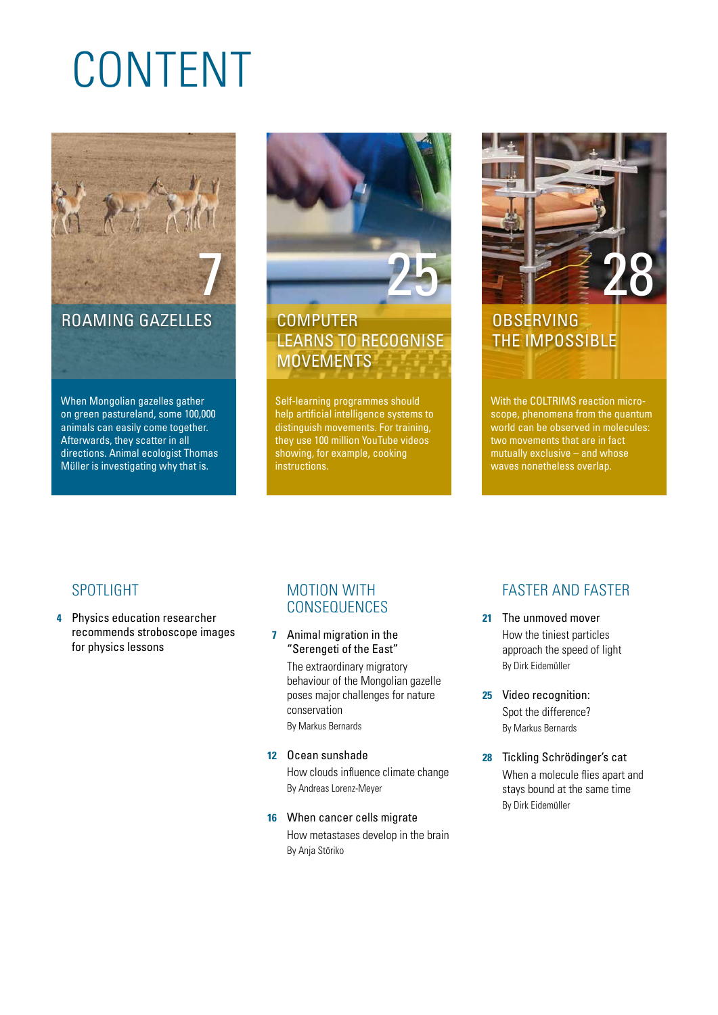# CONTENT



ROAMING GAZELLES

When Mongolian gazelles gather on green pastureland, some 100,000 animals can easily come together. Afterwards, they scatter in all directions. Animal ecologist Thomas Müller is investigating why that is.



## **COMPUTER** LEARNS TO RECOGNISE **MOVEMENTS**

Self-learning programmes should help artificial intelligence systems to distinguish movements. For training, they use 100 million YouTube videos showing, for example, cooking instructions.



## **OBSERVING** THE IMPOSSIBLE

With the COLTRIMS reaction microscope, phenomena from the quantum world can be observed in molecules: two movements that are in fact mutually exclusive – and whose waves nonetheless overlap.

#### SPOTLIGHT

**4** Physics education researcher recommends stroboscope images for physics lessons

#### MOTION WITH CONSEQUENCES

**7** Animal migration in the "Serengeti of the East" The extraordinary migratory behaviour of the Mongolian gazelle poses major challenges for nature conservation

By Markus Bernards

- **12** Ocean sunshade How clouds influence climate change By Andreas Lorenz-Meyer
- **16** When cancer cells migrate How metastases develop in the brain By Anja Störiko

## FASTER AND FASTER

- **21** The unmoved mover How the tiniest particles approach the speed of light By Dirk Eidemüller
- **25** Video recognition: Spot the difference? By Markus Bernards
- **28** Tickling Schrödinger's cat When a molecule flies apart and stays bound at the same time By Dirk Eidemüller